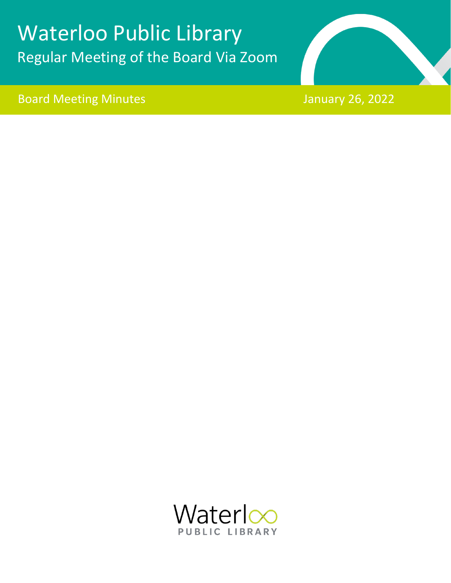# Waterloo Public Library Regular Meeting of the Board Via Zoom

Board Meeting Minutes January 26, 2022



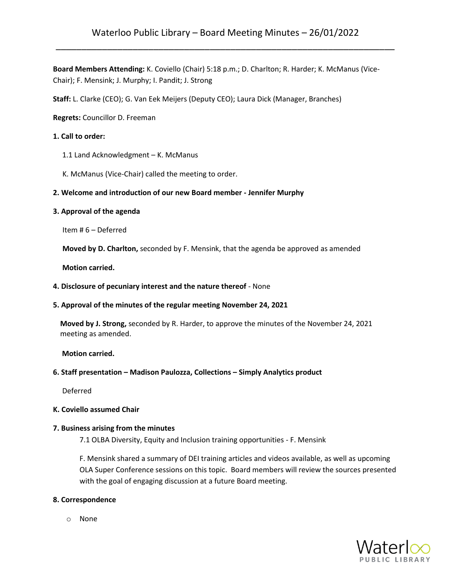**Board Members Attending:** K. Coviello (Chair) 5:18 p.m.; D. Charlton; R. Harder; K. McManus (Vice-Chair); F. Mensink; J. Murphy; I. Pandit; J. Strong

**Staff:** L. Clarke (CEO); G. Van Eek Meijers (Deputy CEO); Laura Dick (Manager, Branches)

**Regrets:** Councillor D. Freeman

## **1. Call to order:**

- 1.1 Land Acknowledgment K. McManus
- K. McManus (Vice-Chair) called the meeting to order.

# **2. Welcome and introduction of our new Board member - Jennifer Murphy**

#### **3. Approval of the agenda**

Item # 6 – Deferred

**Moved by D. Charlton,** seconded by F. Mensink, that the agenda be approved as amended

 **Motion carried.**

#### **4. Disclosure of pecuniary interest and the nature thereof** - None

#### **5. Approval of the minutes of the regular meeting November 24, 2021**

**Moved by J. Strong,** seconded by R. Harder, to approve the minutes of the November 24, 2021 meeting as amended.

**Motion carried.**

#### **6. Staff presentation – Madison Paulozza, Collections – Simply Analytics product**

Deferred

#### **K. Coviello assumed Chair**

#### **7. Business arising from the minutes**

7.1 OLBA Diversity, Equity and Inclusion training opportunities - F. Mensink

F. Mensink shared a summary of DEI training articles and videos available, as well as upcoming OLA Super Conference sessions on this topic. Board members will review the sources presented with the goal of engaging discussion at a future Board meeting.

#### **8. Correspondence**

o None

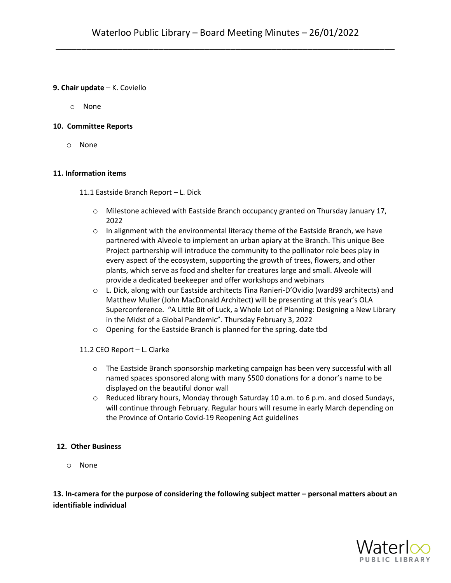## **9. Chair update** – K. Coviello

o None

# **10. Committee Reports**

o None

# **11. Information items**

11.1 Eastside Branch Report – L. Dick

- $\circ$  Milestone achieved with Eastside Branch occupancy granted on Thursday January 17, 2022
- $\circ$  In alignment with the environmental literacy theme of the Eastside Branch, we have partnered with Alveole to implement an urban apiary at the Branch. This unique Bee Project partnership will introduce the community to the pollinator role bees play in every aspect of the ecosystem, supporting the growth of trees, flowers, and other plants, which serve as food and shelter for creatures large and small. Alveole will provide a dedicated beekeeper and offer workshops and webinars
- o L. Dick, along with our Eastside architects Tina Ranieri-D'Ovidio (ward99 architects) and Matthew Muller (John MacDonald Architect) will be presenting at this year's OLA Superconference. "A Little Bit of Luck, a Whole Lot of Planning: Designing a New Library in the Midst of a Global Pandemic". Thursday February 3, 2022
- o Opening for the Eastside Branch is planned for the spring, date tbd
- 11.2 CEO Report L. Clarke
	- o The Eastside Branch sponsorship marketing campaign has been very successful with all named spaces sponsored along with many \$500 donations for a donor's name to be displayed on the beautiful donor wall
	- o Reduced library hours, Monday through Saturday 10 a.m. to 6 p.m. and closed Sundays, will continue through February. Regular hours will resume in early March depending on the Province of Ontario Covid-19 Reopening Act guidelines

#### **12. Other Business**

o None

**13. In-camera for the purpose of considering the following subject matter – personal matters about an identifiable individual**